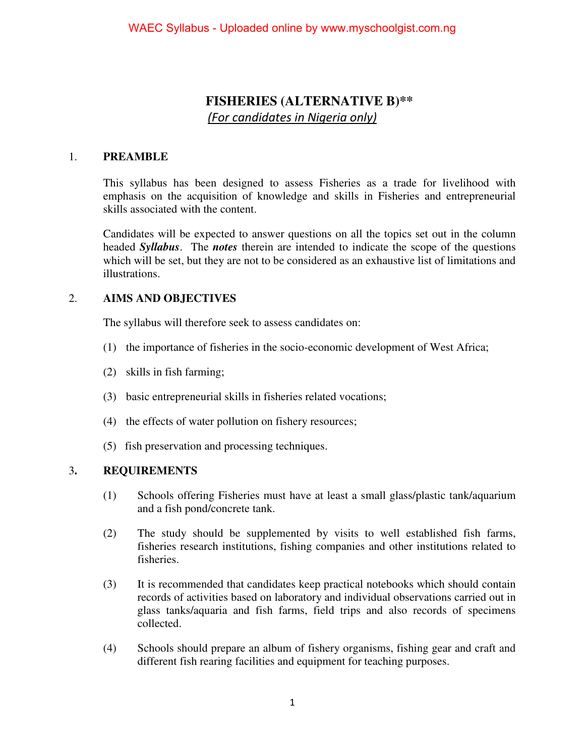### **FISHERIES (ALTERNATIVE B)\*\***  *(For candidates in Nigeria only)*

#### 1. **PREAMBLE**

This syllabus has been designed to assess Fisheries as a trade for livelihood with emphasis on the acquisition of knowledge and skills in Fisheries and entrepreneurial skills associated with the content.

Candidates will be expected to answer questions on all the topics set out in the column headed *Syllabus*. The *notes* therein are intended to indicate the scope of the questions which will be set, but they are not to be considered as an exhaustive list of limitations and illustrations.

### 2. **AIMS AND OBJECTIVES**

The syllabus will therefore seek to assess candidates on:

- (1) the importance of fisheries in the socio-economic development of West Africa;
- (2) skills in fish farming;
- (3) basic entrepreneurial skills in fisheries related vocations;
- (4) the effects of water pollution on fishery resources;
- (5) fish preservation and processing techniques.

### 3**. REQUIREMENTS**

- (1) Schools offering Fisheries must have at least a small glass/plastic tank/aquarium and a fish pond/concrete tank.
- (2) The study should be supplemented by visits to well established fish farms, fisheries research institutions, fishing companies and other institutions related to fisheries.
- (3) It is recommended that candidates keep practical notebooks which should contain records of activities based on laboratory and individual observations carried out in glass tanks/aquaria and fish farms, field trips and also records of specimens collected.
- (4) Schools should prepare an album of fishery organisms, fishing gear and craft and different fish rearing facilities and equipment for teaching purposes.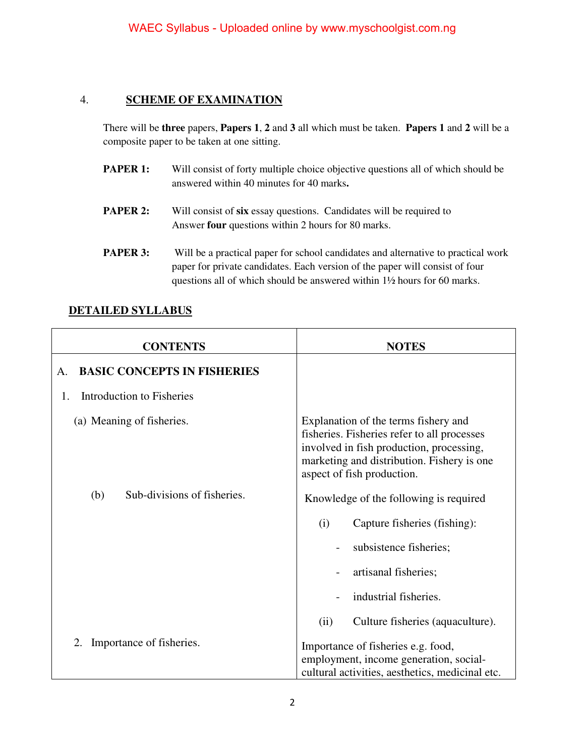### 4. **SCHEME OF EXAMINATION**

There will be **three** papers, **Papers 1**, **2** and **3** all which must be taken. **Papers 1** and **2** will be a composite paper to be taken at one sitting.

- **PAPER 1:** Will consist of forty multiple choice objective questions all of which should be answered within 40 minutes for 40 marks**.**
- **PAPER 2:** Will consist of six essay questions. Candidates will be required to Answer **four** questions within 2 hours for 80 marks.
- **PAPER 3:** Will be a practical paper for school candidates and alternative to practical work paper for private candidates. Each version of the paper will consist of four questions all of which should be answered within 1½ hours for 60 marks.

### **DETAILED SYLLABUS**

| <b>CONTENTS</b>                          | <b>NOTES</b>                                                                                                                                                                                                |  |
|------------------------------------------|-------------------------------------------------------------------------------------------------------------------------------------------------------------------------------------------------------------|--|
| <b>BASIC CONCEPTS IN FISHERIES</b><br>Α. |                                                                                                                                                                                                             |  |
| Introduction to Fisheries<br>1.          |                                                                                                                                                                                                             |  |
| (a) Meaning of fisheries.                | Explanation of the terms fishery and<br>fisheries. Fisheries refer to all processes<br>involved in fish production, processing,<br>marketing and distribution. Fishery is one<br>aspect of fish production. |  |
| Sub-divisions of fisheries.<br>(b)       | Knowledge of the following is required                                                                                                                                                                      |  |
|                                          | Capture fisheries (fishing):<br>(i)                                                                                                                                                                         |  |
|                                          | subsistence fisheries;                                                                                                                                                                                      |  |
|                                          | artisanal fisheries;                                                                                                                                                                                        |  |
|                                          | industrial fisheries.                                                                                                                                                                                       |  |
|                                          | (ii)<br>Culture fisheries (aquaculture).                                                                                                                                                                    |  |
| 2.<br>Importance of fisheries.           | Importance of fisheries e.g. food,<br>employment, income generation, social-<br>cultural activities, aesthetics, medicinal etc.                                                                             |  |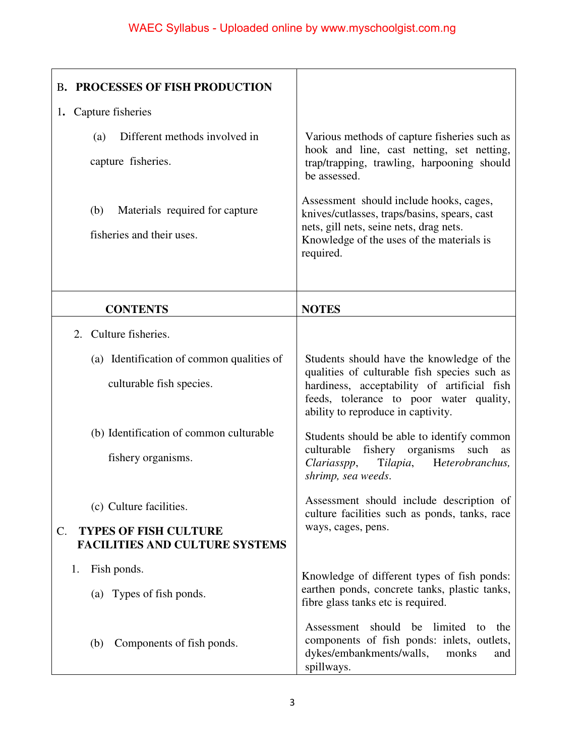| <b>B. PROCESSES OF FISH PRODUCTION</b>                                                                 |                                                                                                                                                                                                                           |
|--------------------------------------------------------------------------------------------------------|---------------------------------------------------------------------------------------------------------------------------------------------------------------------------------------------------------------------------|
| Capture fisheries<br>1.                                                                                |                                                                                                                                                                                                                           |
| Different methods involved in<br>(a)<br>capture fisheries.                                             | Various methods of capture fisheries such as<br>hook and line, cast netting, set netting,<br>trap/trapping, trawling, harpooning should<br>be assessed.                                                                   |
| Materials required for capture<br>(b)<br>fisheries and their uses.                                     | Assessment should include hooks, cages,<br>knives/cutlasses, traps/basins, spears, cast<br>nets, gill nets, seine nets, drag nets.<br>Knowledge of the uses of the materials is<br>required.                              |
| <b>CONTENTS</b>                                                                                        | <b>NOTES</b>                                                                                                                                                                                                              |
| Culture fisheries.<br>2.                                                                               |                                                                                                                                                                                                                           |
| (a) Identification of common qualities of<br>culturable fish species.                                  | Students should have the knowledge of the<br>qualities of culturable fish species such as<br>hardiness, acceptability of artificial fish<br>feeds, tolerance to poor water quality,<br>ability to reproduce in captivity. |
| (b) Identification of common culturable<br>fishery organisms.                                          | Students should be able to identify common<br>culturable<br>fishery organisms<br>such<br><b>as</b><br>Tilapia, Heterobranchus,<br>Clariasspp,<br>shrimp, sea weeds.                                                       |
| (c) Culture facilities.<br><b>TYPES OF FISH CULTURE</b><br>C.<br><b>FACILITIES AND CULTURE SYSTEMS</b> | Assessment should include description of<br>culture facilities such as ponds, tanks, race<br>ways, cages, pens.                                                                                                           |
| Fish ponds.<br>1.<br>(a) Types of fish ponds.                                                          | Knowledge of different types of fish ponds:<br>earthen ponds, concrete tanks, plastic tanks,<br>fibre glass tanks etc is required.                                                                                        |
| Components of fish ponds.<br>(b)                                                                       | should<br>limited<br>Assessment<br>be<br>the<br>to<br>components of fish ponds: inlets, outlets,<br>dykes/embankments/walls,<br>monks<br>and<br>spillways.                                                                |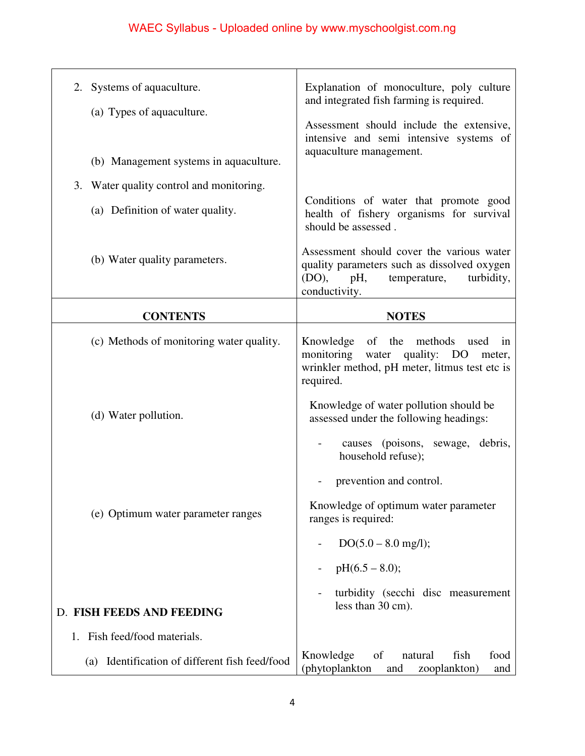| 2. Systems of aquaculture.<br>(a) Types of aquaculture.<br>(b) Management systems in aquaculture. | Explanation of monoculture, poly culture<br>and integrated fish farming is required.<br>Assessment should include the extensive,<br>intensive and semi intensive systems of<br>aquaculture management. |
|---------------------------------------------------------------------------------------------------|--------------------------------------------------------------------------------------------------------------------------------------------------------------------------------------------------------|
| Water quality control and monitoring.<br>3.<br>(a) Definition of water quality.                   | Conditions of water that promote good<br>health of fishery organisms for survival<br>should be assessed.                                                                                               |
| (b) Water quality parameters.                                                                     | Assessment should cover the various water<br>quality parameters such as dissolved oxygen<br>(DO),<br>turbidity,<br>pH,<br>temperature,<br>conductivity.                                                |
| <b>CONTENTS</b>                                                                                   | <b>NOTES</b>                                                                                                                                                                                           |
| (c) Methods of monitoring water quality.                                                          | Knowledge of<br>the methods<br>used<br>in<br>monitoring<br>water quality: DO<br>meter,<br>wrinkler method, pH meter, litmus test etc is<br>required.                                                   |
| (d) Water pollution.                                                                              | Knowledge of water pollution should be<br>assessed under the following headings:<br>causes (poisons, sewage, debris,<br>household refuse);                                                             |
|                                                                                                   | prevention and control.                                                                                                                                                                                |
| (e) Optimum water parameter ranges                                                                | Knowledge of optimum water parameter<br>ranges is required:                                                                                                                                            |
|                                                                                                   | $DO(5.0 - 8.0$ mg/l);<br>$pH(6.5 - 8.0);$<br>turbidity (secchi disc measurement                                                                                                                        |
| D. FISH FEEDS AND FEEDING                                                                         | less than 30 cm).                                                                                                                                                                                      |
| 1. Fish feed/food materials.                                                                      |                                                                                                                                                                                                        |
| (a) Identification of different fish feed/food                                                    | Knowledge<br>of<br>fish<br>food<br>natural<br>(phytoplankton<br>zooplankton)<br>and<br>and                                                                                                             |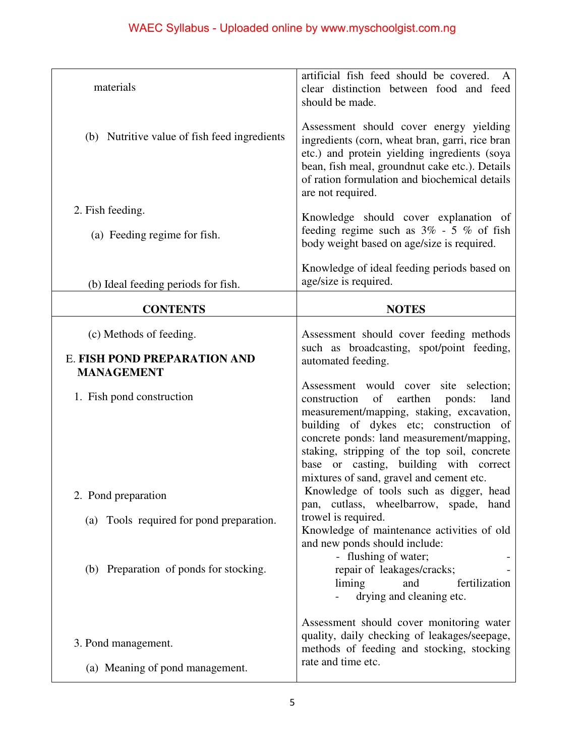| materials                                         | artificial fish feed should be covered.<br>clear distinction between food and feed<br>should be made.                                                                                                                                                                                                                     |
|---------------------------------------------------|---------------------------------------------------------------------------------------------------------------------------------------------------------------------------------------------------------------------------------------------------------------------------------------------------------------------------|
| (b) Nutritive value of fish feed ingredients      | Assessment should cover energy yielding<br>ingredients (corn, wheat bran, garri, rice bran<br>etc.) and protein yielding ingredients (soya<br>bean, fish meal, groundnut cake etc.). Details<br>of ration formulation and biochemical details<br>are not required.                                                        |
| 2. Fish feeding.                                  | Knowledge should cover explanation of                                                                                                                                                                                                                                                                                     |
| (a) Feeding regime for fish.                      | feeding regime such as $3\%$ - 5 % of fish<br>body weight based on age/size is required.                                                                                                                                                                                                                                  |
| (b) Ideal feeding periods for fish.               | Knowledge of ideal feeding periods based on<br>age/size is required.                                                                                                                                                                                                                                                      |
| <b>CONTENTS</b>                                   | <b>NOTES</b>                                                                                                                                                                                                                                                                                                              |
| (c) Methods of feeding.                           | Assessment should cover feeding methods<br>such as broadcasting, spot/point feeding,                                                                                                                                                                                                                                      |
| E. FISH POND PREPARATION AND<br><b>MANAGEMENT</b> | automated feeding.                                                                                                                                                                                                                                                                                                        |
|                                                   | Assessment would cover site selection;                                                                                                                                                                                                                                                                                    |
| 1. Fish pond construction                         | of<br>construction<br>earthen<br>land<br>ponds:<br>measurement/mapping, staking, excavation,<br>building of dykes etc; construction of<br>concrete ponds: land measurement/mapping,<br>staking, stripping of the top soil, concrete<br>base or casting, building with correct<br>mixtures of sand, gravel and cement etc. |
| 2. Pond preparation                               | Knowledge of tools such as digger, head<br>pan, cutlass, wheelbarrow, spade, hand                                                                                                                                                                                                                                         |
| (a) Tools required for pond preparation.          | trowel is required.<br>Knowledge of maintenance activities of old<br>and new ponds should include:                                                                                                                                                                                                                        |
| (b) Preparation of ponds for stocking.            | - flushing of water;<br>repair of leakages/cracks;<br>liming<br>and<br>fertilization<br>drying and cleaning etc.                                                                                                                                                                                                          |
| 3. Pond management.                               | Assessment should cover monitoring water<br>quality, daily checking of leakages/seepage,<br>methods of feeding and stocking, stocking                                                                                                                                                                                     |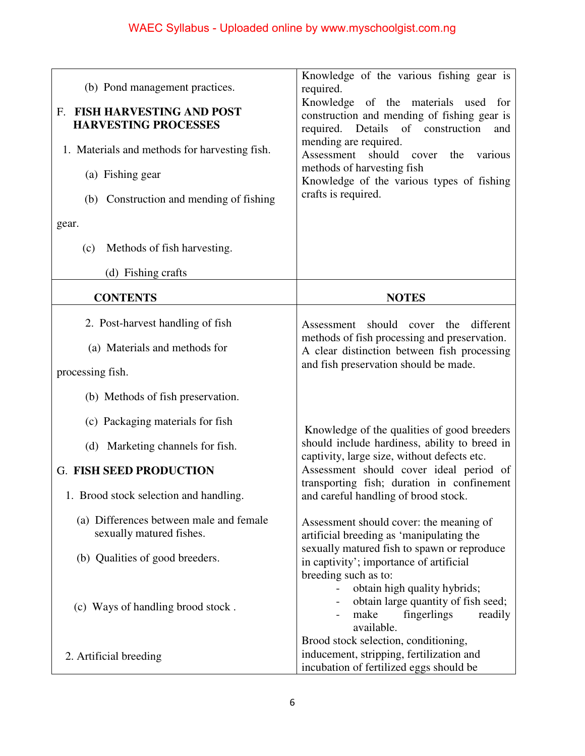# WAEC Syllabus - Uploaded online by www.myschoolgist.com.ng

| (b) Pond management practices.<br>F. FISH HARVESTING AND POST<br><b>HARVESTING PROCESSES</b><br>1. Materials and methods for harvesting fish.<br>(a) Fishing gear<br>(b) Construction and mending of fishing<br>gear.<br>Methods of fish harvesting.<br>(c)<br>(d) Fishing crafts | Knowledge of the various fishing gear is<br>required.<br>Knowledge of the materials used for<br>construction and mending of fishing gear is<br>required. Details of construction<br>and<br>mending are required.<br>Assessment<br>should<br>cover<br>the<br>various<br>methods of harvesting fish<br>Knowledge of the various types of fishing<br>crafts is required. |
|-----------------------------------------------------------------------------------------------------------------------------------------------------------------------------------------------------------------------------------------------------------------------------------|-----------------------------------------------------------------------------------------------------------------------------------------------------------------------------------------------------------------------------------------------------------------------------------------------------------------------------------------------------------------------|
| <b>CONTENTS</b>                                                                                                                                                                                                                                                                   | <b>NOTES</b>                                                                                                                                                                                                                                                                                                                                                          |
| 2. Post-harvest handling of fish<br>(a) Materials and methods for<br>processing fish.                                                                                                                                                                                             | Assessment should cover the different<br>methods of fish processing and preservation.<br>A clear distinction between fish processing<br>and fish preservation should be made.                                                                                                                                                                                         |
| (b) Methods of fish preservation.                                                                                                                                                                                                                                                 |                                                                                                                                                                                                                                                                                                                                                                       |
| (c) Packaging materials for fish<br>(d) Marketing channels for fish.<br><b>G. FISH SEED PRODUCTION</b><br>1. Brood stock selection and handling.                                                                                                                                  | Knowledge of the qualities of good breeders<br>should include hardiness, ability to breed in<br>captivity, large size, without defects etc.<br>Assessment should cover ideal period of<br>transporting fish; duration in confinement<br>and careful handling of brood stock.                                                                                          |
| (a) Differences between male and female                                                                                                                                                                                                                                           |                                                                                                                                                                                                                                                                                                                                                                       |
| sexually matured fishes.                                                                                                                                                                                                                                                          | Assessment should cover: the meaning of<br>artificial breeding as 'manipulating the                                                                                                                                                                                                                                                                                   |
| (b) Qualities of good breeders.                                                                                                                                                                                                                                                   | sexually matured fish to spawn or reproduce<br>in captivity'; importance of artificial<br>breeding such as to:                                                                                                                                                                                                                                                        |
| (c) Ways of handling brood stock.                                                                                                                                                                                                                                                 | obtain high quality hybrids;<br>obtain large quantity of fish seed;<br>make<br>fingerlings<br>readily<br>available.                                                                                                                                                                                                                                                   |
| 2. Artificial breeding                                                                                                                                                                                                                                                            | Brood stock selection, conditioning,<br>inducement, stripping, fertilization and<br>incubation of fertilized eggs should be                                                                                                                                                                                                                                           |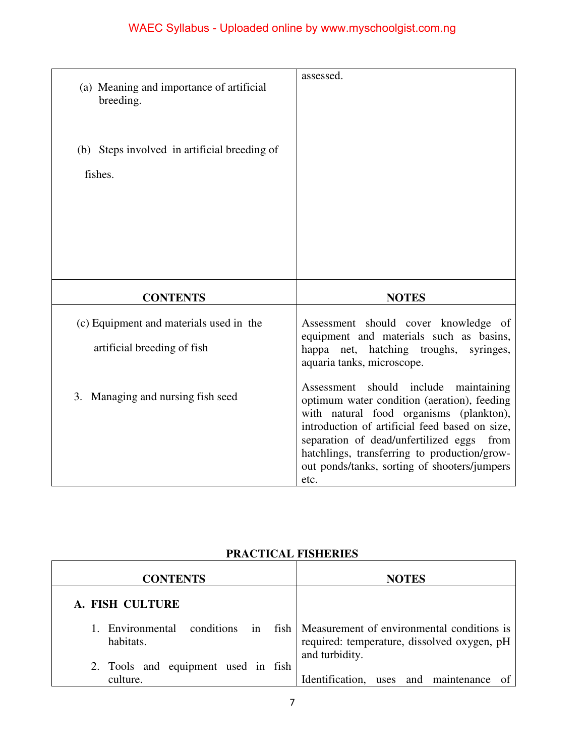# WAEC Syllabus - Uploaded online by www.myschoolgist.com.ng

| (a) Meaning and importance of artificial<br>breeding. | assessed.                                                                                                       |
|-------------------------------------------------------|-----------------------------------------------------------------------------------------------------------------|
| (b) Steps involved in artificial breeding of          |                                                                                                                 |
| fishes.                                               |                                                                                                                 |
|                                                       |                                                                                                                 |
|                                                       |                                                                                                                 |
| <b>CONTENTS</b>                                       | <b>NOTES</b>                                                                                                    |
| (c) Equipment and materials used in the               | Assessment should cover knowledge of                                                                            |
| artificial breeding of fish                           | equipment and materials such as basins,<br>happa net, hatching troughs, syringes,<br>aquaria tanks, microscope. |

| <b>PRACTICAL FISHERIES</b> |  |
|----------------------------|--|
|                            |  |

| <b>CONTENTS</b>                                 | <b>NOTES</b>                                                                                                       |
|-------------------------------------------------|--------------------------------------------------------------------------------------------------------------------|
| <b>A. FISH CULTURE</b>                          |                                                                                                                    |
| conditions in<br>1. Environmental<br>habitats.  | fish   Measurement of environmental conditions is<br>required: temperature, dissolved oxygen, pH<br>and turbidity. |
| 2. Tools and equipment used in fish<br>culture. | Identification, uses and maintenance<br>- of                                                                       |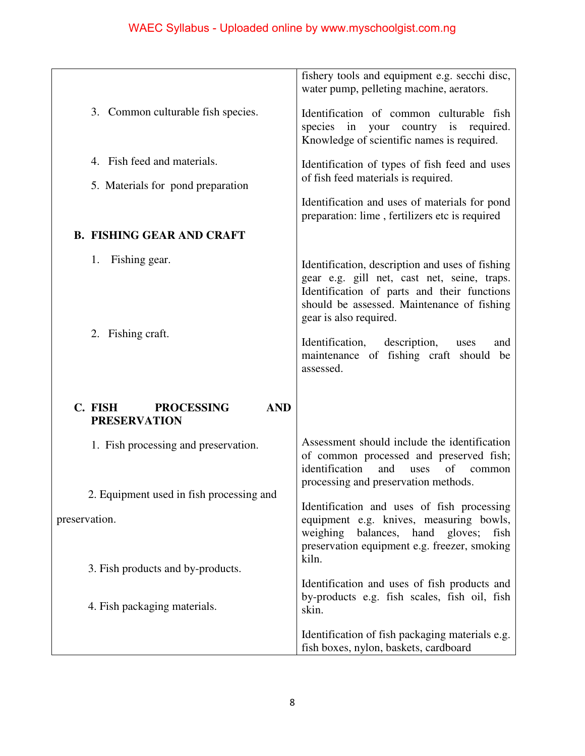|                                                                   | fishery tools and equipment e.g. secchi disc,<br>water pump, pelleting machine, aerators.                                                                                                                                                                                                                                      |
|-------------------------------------------------------------------|--------------------------------------------------------------------------------------------------------------------------------------------------------------------------------------------------------------------------------------------------------------------------------------------------------------------------------|
| 3. Common culturable fish species.                                | Identification of common culturable fish<br>species in<br>your country is required.<br>Knowledge of scientific names is required.                                                                                                                                                                                              |
| 4. Fish feed and materials.                                       | Identification of types of fish feed and uses                                                                                                                                                                                                                                                                                  |
| 5. Materials for pond preparation                                 | of fish feed materials is required.                                                                                                                                                                                                                                                                                            |
|                                                                   | Identification and uses of materials for pond<br>preparation: lime, fertilizers etc is required                                                                                                                                                                                                                                |
| <b>B. FISHING GEAR AND CRAFT</b>                                  |                                                                                                                                                                                                                                                                                                                                |
| Fishing gear.<br>1.<br>2. Fishing craft.                          | Identification, description and uses of fishing<br>gear e.g. gill net, cast net, seine, traps.<br>Identification of parts and their functions<br>should be assessed. Maintenance of fishing<br>gear is also required.<br>Identification, description,<br>and<br>uses<br>maintenance of fishing craft should<br>be<br>assessed. |
| C. FISH<br><b>PROCESSING</b><br><b>AND</b><br><b>PRESERVATION</b> |                                                                                                                                                                                                                                                                                                                                |
| 1. Fish processing and preservation.                              | Assessment should include the identification<br>of common processed and preserved fish;<br>identification<br>of<br>and<br>uses<br>common<br>processing and preservation methods.                                                                                                                                               |
| 2. Equipment used in fish processing and                          | Identification and uses of fish processing                                                                                                                                                                                                                                                                                     |
| preservation.                                                     | equipment e.g. knives, measuring bowls,<br>weighing<br>balances, hand gloves;<br>fish<br>preservation equipment e.g. freezer, smoking<br>kiln.                                                                                                                                                                                 |
| 3. Fish products and by-products.                                 | Identification and uses of fish products and                                                                                                                                                                                                                                                                                   |
| 4. Fish packaging materials.                                      | by-products e.g. fish scales, fish oil, fish<br>skin.                                                                                                                                                                                                                                                                          |
|                                                                   | Identification of fish packaging materials e.g.<br>fish boxes, nylon, baskets, cardboard                                                                                                                                                                                                                                       |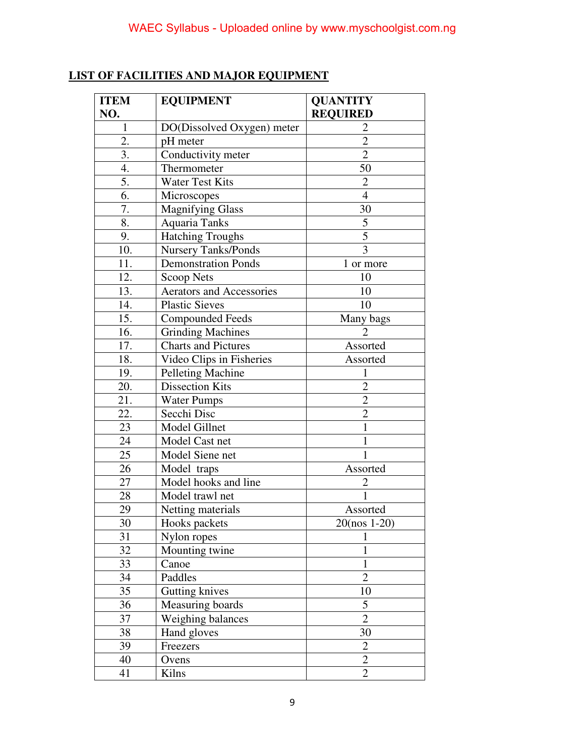#### **ITEM NO. EQUIPMENT QUANTITY REQUIRED**  1 DO(Dissolved Oxygen) meter 2 2. pH meter 2<br>3. Conductivity meter 2  $3.$  Conductivity meter 4. Thermometer 50 5. Water Test Kits 2 6. Microscopes 4 7. Magnifying Glass 1 30 8. Aquaria Tanks 5 9. Hatching Troughs 5 10. Nursery Tanks/Ponds 3 11. Demonstration Ponds 1 or more 12. Scoop Nets 10 13. Aerators and Accessories 10 14. Plastic Sieves 10 15. Compounded Feeds Many bags 16. Grinding Machines 2 17. Charts and Pictures Assorted 18. Video Clips in Fisheries Assorted 19. Pelleting Machine 1<br>20. Dissection Kits 2 Dissection Kits 21. Water Pumps 2 22. Secchi Disc 2 23 | Model Gillnet 1 24 | Model Cast net | 1 25 | Model Siene net 1 26 | Model traps | Assorted 27 | Model hooks and line 2 28 | Model trawl net | 1 29 Netting materials Assorted 30 Hooks packets 20(nos 1-20) 31 | Nylon ropes | 1 32 Mounting twine 1 33 Canoe 1 34 Paddles 2 35 Gutting knives 10<br>36 Measuring boards 5 36 Measuring boards 5<br>37 Weighing balances 2 37 Weighing balances 2 38 | Hand gloves 30 39 Freezers 2 40 Ovens 2 41 Kilns 2

#### **LIST OF FACILITIES AND MAJOR EQUIPMENT**